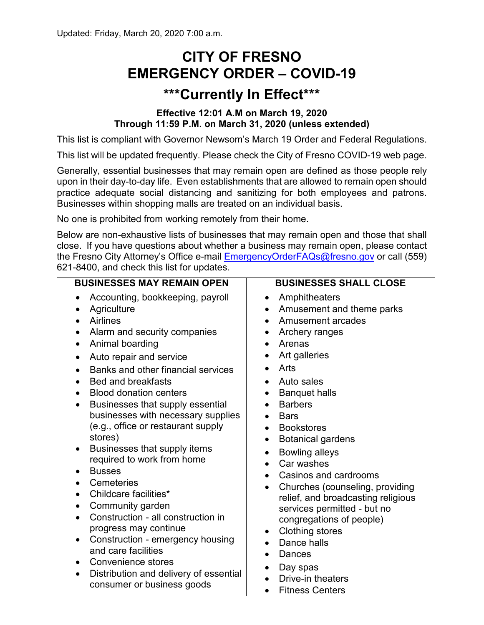## **CITY OF FRESNO EMERGENCY ORDER – COVID-19**

## **\*\*\*Currently In Effect\*\*\***

## **Effective 12:01 A.M on March 19, 2020 Through 11:59 P.M. on March 31, 2020 (unless extended)**

This list is compliant with Governor Newsom's March 19 Order and Federal Regulations.

This list will be updated frequently. Please check the City of Fresno COVID-19 web page.

Generally, essential businesses that may remain open are defined as those people rely upon in their day-to-day life. Even establishments that are allowed to remain open should practice adequate social distancing and sanitizing for both employees and patrons. Businesses within shopping malls are treated on an individual basis.

No one is prohibited from working remotely from their home.

Below are non-exhaustive lists of businesses that may remain open and those that shall close. If you have questions about whether a business may remain open, please contact the Fresno City Attorney's Office e-mail [EmergencyOrderFAQs@fresno.gov](mailto:EmergencyOrderFAQs@fresno.gov) or call (559) 621-8400, and check this list for updates.

| <b>BUSINESSES MAY REMAIN OPEN</b>                                                                                                                                                                                                                                                                                                                                                                                                                                                                                                                                                                                                                                                                                                                                                                                           | <b>BUSINESSES SHALL CLOSE</b>                                                                                                                                                                                                                                                                                                                                                                                                                                                                                                                                                                                                       |
|-----------------------------------------------------------------------------------------------------------------------------------------------------------------------------------------------------------------------------------------------------------------------------------------------------------------------------------------------------------------------------------------------------------------------------------------------------------------------------------------------------------------------------------------------------------------------------------------------------------------------------------------------------------------------------------------------------------------------------------------------------------------------------------------------------------------------------|-------------------------------------------------------------------------------------------------------------------------------------------------------------------------------------------------------------------------------------------------------------------------------------------------------------------------------------------------------------------------------------------------------------------------------------------------------------------------------------------------------------------------------------------------------------------------------------------------------------------------------------|
| Accounting, bookkeeping, payroll<br>Agriculture<br><b>Airlines</b><br>Alarm and security companies<br>Animal boarding<br>$\bullet$<br>Auto repair and service<br>Banks and other financial services<br><b>Bed and breakfasts</b><br><b>Blood donation centers</b><br>$\bullet$<br>Businesses that supply essential<br>$\bullet$<br>businesses with necessary supplies<br>(e.g., office or restaurant supply<br>stores)<br>Businesses that supply items<br>required to work from home<br><b>Busses</b><br>Cemeteries<br>$\bullet$<br>Childcare facilities*<br>$\bullet$<br>Community garden<br>$\bullet$<br>Construction - all construction in<br>progress may continue<br>Construction - emergency housing<br>$\bullet$<br>and care facilities<br>Convenience stores<br>Distribution and delivery of essential<br>$\bullet$ | Amphitheaters<br>٠<br>Amusement and theme parks<br>$\bullet$<br>Amusement arcades<br>Archery ranges<br>Arenas<br>$\bullet$<br>Art galleries<br>٠<br>Arts<br>Auto sales<br><b>Banquet halls</b><br>٠<br><b>Barbers</b><br>$\bullet$<br><b>Bars</b><br>$\bullet$<br><b>Bookstores</b><br>$\bullet$<br><b>Botanical gardens</b><br>٠<br><b>Bowling alleys</b><br>$\bullet$<br>Car washes<br>Casinos and cardrooms<br>Churches (counseling, providing<br>٠<br>relief, and broadcasting religious<br>services permitted - but no<br>congregations of people)<br><b>Clothing stores</b><br>Dance halls<br>$\bullet$<br>Dances<br>Day spas |
| consumer or business goods                                                                                                                                                                                                                                                                                                                                                                                                                                                                                                                                                                                                                                                                                                                                                                                                  | Drive-in theaters<br><b>Fitness Centers</b><br>$\bullet$                                                                                                                                                                                                                                                                                                                                                                                                                                                                                                                                                                            |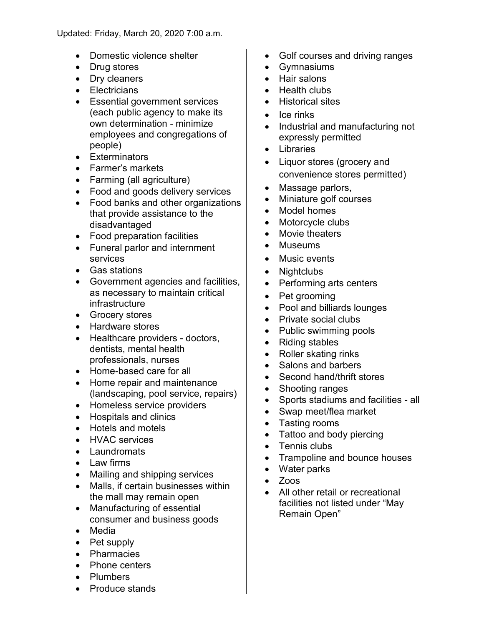| Domestic violence shelter<br>$\bullet$<br>Drug stores<br>Dry cleaners<br>Electricians<br><b>Essential government services</b><br>(each public agency to make its<br>own determination - minimize<br>employees and congregations of<br>people)<br><b>Exterminators</b><br>$\bullet$<br>Farmer's markets<br>Farming (all agriculture)<br>Food and goods delivery services<br>$\bullet$<br>Food banks and other organizations<br>$\bullet$<br>that provide assistance to the<br>disadvantaged<br>Food preparation facilities<br>$\bullet$<br>Funeral parlor and internment<br>$\bullet$<br>services<br><b>Gas stations</b><br>Government agencies and facilities,<br>$\bullet$<br>as necessary to maintain critical<br>infrastructure<br><b>Grocery stores</b><br>$\bullet$<br>Hardware stores<br>$\bullet$<br>Healthcare providers - doctors,<br>$\bullet$<br>dentists, mental health<br>professionals, nurses<br>Home-based care for all<br>$\bullet$<br>Home repair and maintenance<br>(landscaping, pool service, repairs)<br>Homeless service providers<br><b>Hospitals and clinics</b><br><b>Hotels and motels</b><br><b>HVAC</b> services<br>Laundromats<br>Law firms<br>Mailing and shipping services<br>Malls, if certain businesses within<br>the mall may remain open<br>Manufacturing of essential<br>consumer and business goods<br>Media<br>Pet supply<br><b>Pharmacies</b> | Golf courses and driving ranges<br>٠<br>Gymnasiums<br>$\bullet$<br>Hair salons<br>Health clubs<br>$\bullet$<br><b>Historical sites</b><br>Ice rinks<br>$\bullet$<br>Industrial and manufacturing not<br>expressly permitted<br>Libraries<br>$\bullet$<br>Liquor stores (grocery and<br>$\bullet$<br>convenience stores permitted)<br>Massage parlors,<br>$\bullet$<br>Miniature golf courses<br>$\bullet$<br>Model homes<br>$\bullet$<br>Motorcycle clubs<br>$\bullet$<br>Movie theaters<br><b>Museums</b><br>Music events<br>$\bullet$<br><b>Nightclubs</b><br>$\bullet$<br>Performing arts centers<br>$\bullet$<br>Pet grooming<br>$\bullet$<br>Pool and billiards lounges<br>$\bullet$<br>Private social clubs<br>$\bullet$<br>Public swimming pools<br>$\bullet$<br><b>Riding stables</b><br>$\bullet$<br>Roller skating rinks<br>$\bullet$<br>Salons and barbers<br>Second hand/thrift stores<br>Shooting ranges<br>٠<br>Sports stadiums and facilities - all<br>Swap meet/flea market<br>Tasting rooms<br>Tattoo and body piercing<br>Tennis clubs<br>Trampoline and bounce houses<br>Water parks<br>Zoos<br>All other retail or recreational<br>facilities not listed under "May<br>Remain Open" |
|----------------------------------------------------------------------------------------------------------------------------------------------------------------------------------------------------------------------------------------------------------------------------------------------------------------------------------------------------------------------------------------------------------------------------------------------------------------------------------------------------------------------------------------------------------------------------------------------------------------------------------------------------------------------------------------------------------------------------------------------------------------------------------------------------------------------------------------------------------------------------------------------------------------------------------------------------------------------------------------------------------------------------------------------------------------------------------------------------------------------------------------------------------------------------------------------------------------------------------------------------------------------------------------------------------------------------------------------------------------------------------------|---------------------------------------------------------------------------------------------------------------------------------------------------------------------------------------------------------------------------------------------------------------------------------------------------------------------------------------------------------------------------------------------------------------------------------------------------------------------------------------------------------------------------------------------------------------------------------------------------------------------------------------------------------------------------------------------------------------------------------------------------------------------------------------------------------------------------------------------------------------------------------------------------------------------------------------------------------------------------------------------------------------------------------------------------------------------------------------------------------------------------------------------------------------------------------------------------------|
| Phone centers                                                                                                                                                                                                                                                                                                                                                                                                                                                                                                                                                                                                                                                                                                                                                                                                                                                                                                                                                                                                                                                                                                                                                                                                                                                                                                                                                                          |                                                                                                                                                                                                                                                                                                                                                                                                                                                                                                                                                                                                                                                                                                                                                                                                                                                                                                                                                                                                                                                                                                                                                                                                         |

- Plumbers
- Produce stands